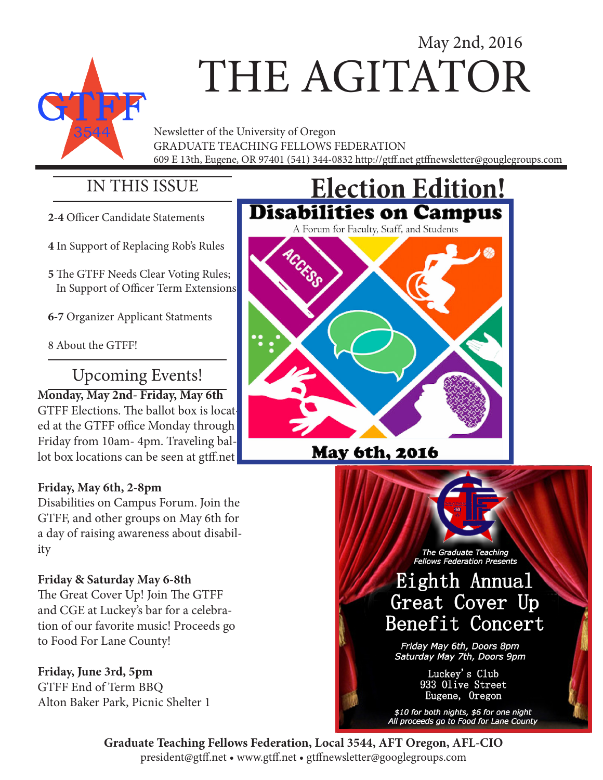# May 2nd, 2016 THE AGITATOR

Newsletter of the University of Oregon GRADUATE TEACHING FELLOWS FEDERATION 609 E 13th, Eugene, OR 97401 (541) 344-0832 http://gtff.net gtffnewsletter@gouglegroups.com

### IN THIS ISSUE

- **2-4** Officer Candidate Statements
- **4** In Support of Replacing Rob's Rules
- **5** The GTFF Needs Clear Voting Rules; In Support of Officer Term Extensions
- **6-7** Organizer Applicant Statments
- 8 About the GTFF!

## Upcoming Events!

## **Monday, May 2nd- Friday, May 6th**

GTFF Elections. The ballot box is located at the GTFF office Monday through Friday from 10am- 4pm. Traveling ballot box locations can be seen at gtff.net

#### **Friday, May 6th, 2-8pm**

Disabilities on Campus Forum. Join the GTFF, and other groups on May 6th for a day of raising awareness about disability

#### **Friday & Saturday May 6-8th**

The Great Cover Up! Join The GTFF and CGE at Luckey's bar for a celebration of our favorite music! Proceeds go to Food For Lane County!

#### **Friday, June 3rd, 5pm**

GTFF End of Term BBQ Alton Baker Park, Picnic Shelter 1



### **May 6th, 2016**

The Graduate Teaching **Fellows Federation Presents** 

## Eighth Annual Great Cover Up Benefit Concert

Friday May 6th, Doors 8pm Saturday May 7th, Doors 9pm

> Luckey's Club 933 Olive Street Eugene, Oregon

\$10 for both nights, \$6 for one night<br>All proceeds go to Food for Lane County

**Graduate Teaching Fellows Federation, Local 3544, AFT Oregon, AFL-CIO** president@gtff.net • www.gtff.net • gtffnewsletter@googlegroups.com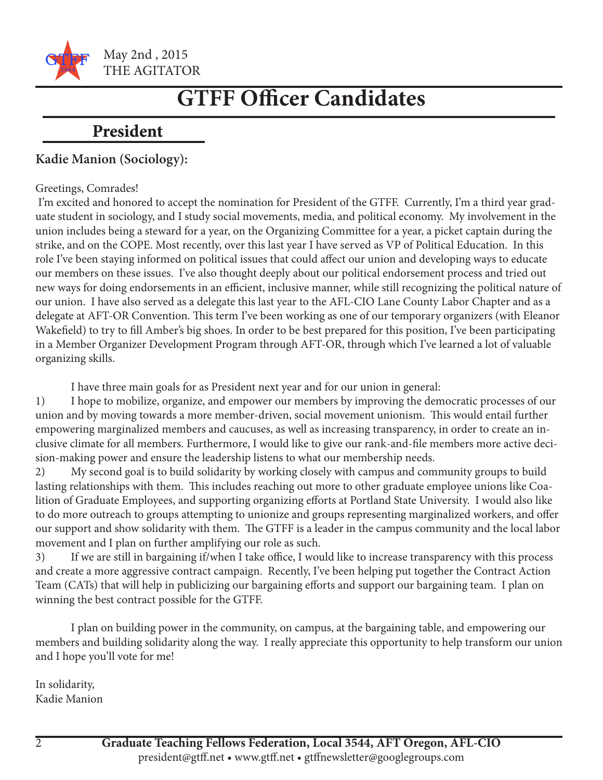

May 2nd , 2015 THE AGITATOR

## **GTFF Officer Candidates**

### **President**

#### **Kadie Manion (Sociology):**

#### Greetings, Comrades!

 I'm excited and honored to accept the nomination for President of the GTFF. Currently, I'm a third year graduate student in sociology, and I study social movements, media, and political economy. My involvement in the union includes being a steward for a year, on the Organizing Committee for a year, a picket captain during the strike, and on the COPE. Most recently, over this last year I have served as VP of Political Education. In this role I've been staying informed on political issues that could affect our union and developing ways to educate our members on these issues. I've also thought deeply about our political endorsement process and tried out new ways for doing endorsements in an efficient, inclusive manner, while still recognizing the political nature of our union. I have also served as a delegate this last year to the AFL-CIO Lane County Labor Chapter and as a delegate at AFT-OR Convention. This term I've been working as one of our temporary organizers (with Eleanor Wakefield) to try to fill Amber's big shoes. In order to be best prepared for this position, I've been participating in a Member Organizer Development Program through AFT-OR, through which I've learned a lot of valuable organizing skills.

I have three main goals for as President next year and for our union in general:

1) I hope to mobilize, organize, and empower our members by improving the democratic processes of our union and by moving towards a more member-driven, social movement unionism. This would entail further empowering marginalized members and caucuses, as well as increasing transparency, in order to create an inclusive climate for all members. Furthermore, I would like to give our rank-and-file members more active decision-making power and ensure the leadership listens to what our membership needs.

2) My second goal is to build solidarity by working closely with campus and community groups to build lasting relationships with them. This includes reaching out more to other graduate employee unions like Coalition of Graduate Employees, and supporting organizing efforts at Portland State University. I would also like to do more outreach to groups attempting to unionize and groups representing marginalized workers, and offer our support and show solidarity with them. The GTFF is a leader in the campus community and the local labor movement and I plan on further amplifying our role as such.

3) If we are still in bargaining if/when I take office, I would like to increase transparency with this process and create a more aggressive contract campaign. Recently, I've been helping put together the Contract Action Team (CATs) that will help in publicizing our bargaining efforts and support our bargaining team. I plan on winning the best contract possible for the GTFF.

I plan on building power in the community, on campus, at the bargaining table, and empowering our members and building solidarity along the way. I really appreciate this opportunity to help transform our union and I hope you'll vote for me!

In solidarity, Kadie Manion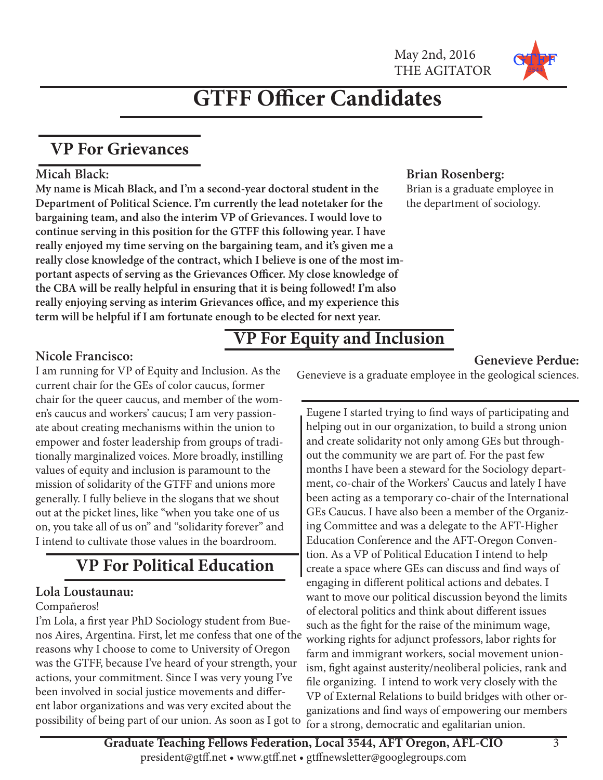

## **GTFF Officer Candidates**

### **VP For Grievances**

#### **Micah Black:**

**My name is Micah Black, and I'm a second-year doctoral student in the Department of Political Science. I'm currently the lead notetaker for the bargaining team, and also the interim VP of Grievances. I would love to continue serving in this position for the GTFF this following year. I have really enjoyed my time serving on the bargaining team, and it's given me a really close knowledge of the contract, which I believe is one of the most important aspects of serving as the Grievances Officer. My close knowledge of the CBA will be really helpful in ensuring that it is being followed! I'm also really enjoying serving as interim Grievances office, and my experience this term will be helpful if I am fortunate enough to be elected for next year.**

#### **Brian Rosenberg:**

Brian is a graduate employee in the department of sociology.

#### **Nicole Francisco:**

I am running for VP of Equity and Inclusion. As the current chair for the GEs of color caucus, former chair for the queer caucus, and member of the women's caucus and workers' caucus; I am very passionate about creating mechanisms within the union to empower and foster leadership from groups of traditionally marginalized voices. More broadly, instilling values of equity and inclusion is paramount to the mission of solidarity of the GTFF and unions more generally. I fully believe in the slogans that we shout out at the picket lines, like "when you take one of us on, you take all of us on" and "solidarity forever" and I intend to cultivate those values in the boardroom.

## **VP For Political Education**

#### **Lola Loustaunau:**

#### Compañeros!

I'm Lola, a first year PhD Sociology student from Buenos Aires, Argentina. First, let me confess that one of the reasons why I choose to come to University of Oregon was the GTFF, because I've heard of your strength, your actions, your commitment. Since I was very young I've been involved in social justice movements and different labor organizations and was very excited about the possibility of being part of our union. As soon as I got to

### **VP For Equity and Inclusion**

#### **Genevieve Perdue:**

Genevieve is a graduate employee in the geological sciences.

Eugene I started trying to find ways of participating and helping out in our organization, to build a strong union and create solidarity not only among GEs but throughout the community we are part of. For the past few months I have been a steward for the Sociology department, co-chair of the Workers' Caucus and lately I have been acting as a temporary co-chair of the International GEs Caucus. I have also been a member of the Organizing Committee and was a delegate to the AFT-Higher Education Conference and the AFT-Oregon Convention. As a VP of Political Education I intend to help create a space where GEs can discuss and find ways of engaging in different political actions and debates. I want to move our political discussion beyond the limits of electoral politics and think about different issues such as the fight for the raise of the minimum wage, working rights for adjunct professors, labor rights for farm and immigrant workers, social movement unionism, fight against austerity/neoliberal policies, rank and file organizing. I intend to work very closely with the VP of External Relations to build bridges with other organizations and find ways of empowering our members for a strong, democratic and egalitarian union.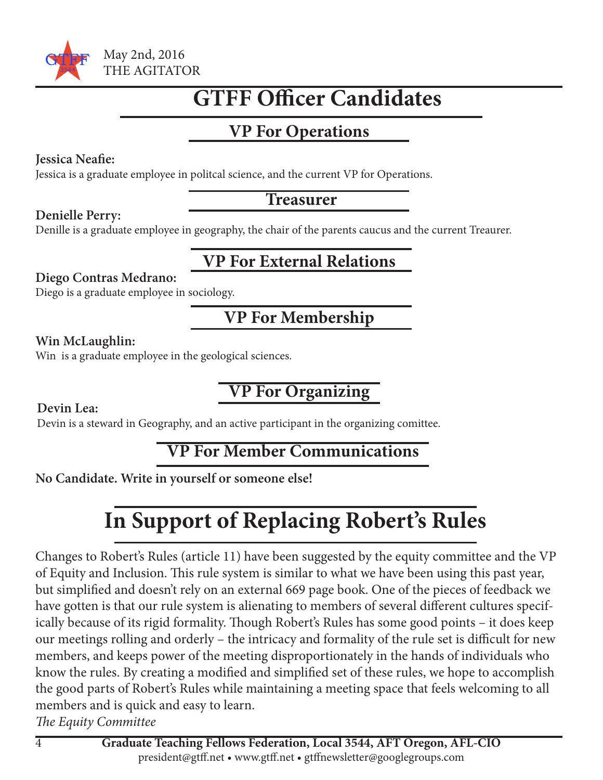

## **GTFF Officer Candidates**

## **VP For Operations**

#### **Jessica Neafie:**

Jessica is a graduate employee in politcal science, and the current VP for Operations.

#### **Treasurer**

#### **Denielle Perry:**

Denille is a graduate employee in geography, the chair of the parents caucus and the current Treaurer.

### **VP For External Relations**

#### **Diego Contras Medrano:**

Diego is a graduate employee in sociology.

## **VP For Membership**

#### **Win McLaughlin:**

Win is a graduate employee in the geological sciences.

## **VP For Organizing**

#### **Devin Lea:**

Devin is a steward in Geography, and an active participant in the organizing comittee.

### **VP For Member Communications**

#### **No Candidate. Write in yourself or someone else!**

## **In Support of Replacing Robert's Rules**

Changes to Robert's Rules (article 11) have been suggested by the equity committee and the VP of Equity and Inclusion. This rule system is similar to what we have been using this past year, but simplified and doesn't rely on an external 669 page book. One of the pieces of feedback we have gotten is that our rule system is alienating to members of several different cultures specifically because of its rigid formality. Though Robert's Rules has some good points – it does keep our meetings rolling and orderly – the intricacy and formality of the rule set is difficult for new members, and keeps power of the meeting disproportionately in the hands of individuals who know the rules. By creating a modified and simplified set of these rules, we hope to accomplish the good parts of Robert's Rules while maintaining a meeting space that feels welcoming to all members and is quick and easy to learn.

*The Equity Committee*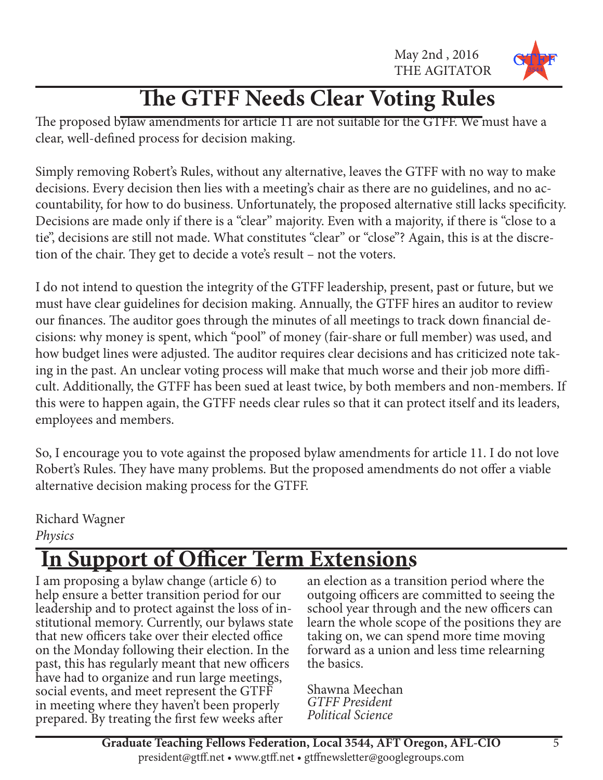May 2nd , 2016 THE AGITATOR



## **The GTFF Needs Clear Voting Rules**

The proposed bylaw amendments for article 11 are not suitable for the GTFF. We must have a clear, well-defined process for decision making.

Simply removing Robert's Rules, without any alternative, leaves the GTFF with no way to make decisions. Every decision then lies with a meeting's chair as there are no guidelines, and no accountability, for how to do business. Unfortunately, the proposed alternative still lacks specificity. Decisions are made only if there is a "clear" majority. Even with a majority, if there is "close to a tie", decisions are still not made. What constitutes "clear" or "close"? Again, this is at the discretion of the chair. They get to decide a vote's result – not the voters.

I do not intend to question the integrity of the GTFF leadership, present, past or future, but we must have clear guidelines for decision making. Annually, the GTFF hires an auditor to review our finances. The auditor goes through the minutes of all meetings to track down financial decisions: why money is spent, which "pool" of money (fair-share or full member) was used, and how budget lines were adjusted. The auditor requires clear decisions and has criticized note taking in the past. An unclear voting process will make that much worse and their job more difficult. Additionally, the GTFF has been sued at least twice, by both members and non-members. If this were to happen again, the GTFF needs clear rules so that it can protect itself and its leaders, employees and members.

So, I encourage you to vote against the proposed bylaw amendments for article 11. I do not love Robert's Rules. They have many problems. But the proposed amendments do not offer a viable alternative decision making process for the GTFF.

Richard Wagner *Physics*

## **<u>Support of Officer Term Extensions</u>**

I am proposing a bylaw change (article 6) to help ensure a better transition period for our leadership and to protect against the loss of institutional memory. Currently, our bylaws state that new officers take over their elected office on the Monday following their election. In the past, this has regularly meant that new officers have had to organize and run large meetings, social events, and meet represent the GTFF in meeting where they haven't been properly prepared. By treating the first few weeks after

an election as a transition period where the outgoing officers are committed to seeing the school year through and the new officers can learn the whole scope of the positions they are taking on, we can spend more time moving forward as a union and less time relearning the basics.

Shawna Meechan *GTFF President Political Science*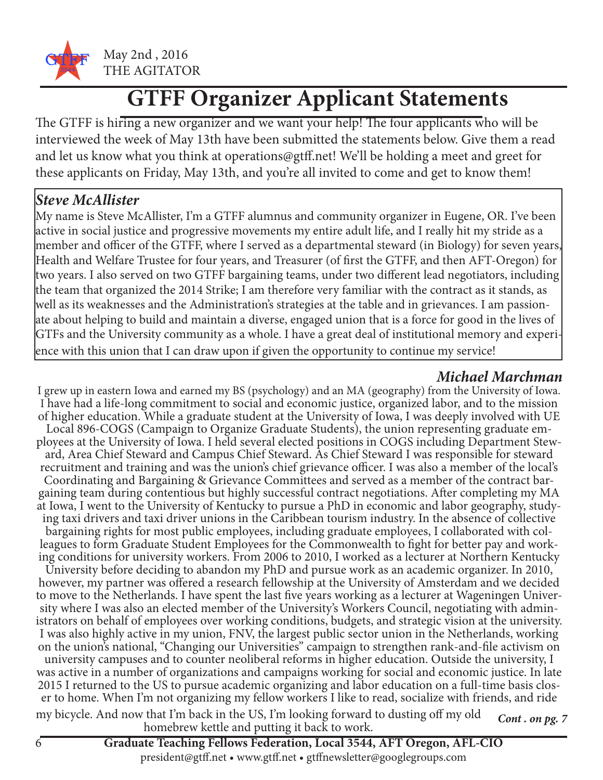

## **GTFF Organizer Applicant Statements**

The GTFF is hiring a new organizer and we want your help! The four applicants who will be interviewed the week of May 13th have been submitted the statements below. Give them a read and let us know what you think at operations@gtff.net! We'll be holding a meet and greet for these applicants on Friday, May 13th, and you're all invited to come and get to know them!

#### *Steve McAllister*

My name is Steve McAllister, I'm a GTFF alumnus and community organizer in Eugene, OR. I've been active in social justice and progressive movements my entire adult life, and I really hit my stride as a member and officer of the GTFF, where I served as a departmental steward (in Biology) for seven years, Health and Welfare Trustee for four years, and Treasurer (of first the GTFF, and then AFT-Oregon) for two years. I also served on two GTFF bargaining teams, under two different lead negotiators, including the team that organized the 2014 Strike; I am therefore very familiar with the contract as it stands, as well as its weaknesses and the Administration's strategies at the table and in grievances. I am passionate about helping to build and maintain a diverse, engaged union that is a force for good in the lives of GTFs and the University community as a whole. I have a great deal of institutional memory and experience with this union that I can draw upon if given the opportunity to continue my service!

#### *Michael Marchman*

I grew up in eastern Iowa and earned my BS (psychology) and an MA (geography) from the University of Iowa. I have had a life-long commitment to social and economic justice, organized labor, and to the mission of higher education. While a graduate student at the University of Iowa, I was deeply involved with UE ployees at the University of Iowa. I held several elected positions in COGS including Department Steward, Area Chief Steward and Campus Chief Steward. As Chief Steward I was responsible for steward recruitment and training and was the union's chief grievance officer. I was also a member of the local's Coordinating and Bargaining & Grievance Committees and served as a member of the contract bar- gaining team during contentious but highly successful contract negotiations. After completing my MA at Iowa, I went to the University of Kentucky to pursue a PhD in economic and labor geography, studying taxi drivers and taxi driver unions in the Caribbean tourism industry. In the absence of collective bargaining rights for most public employees, including graduate employees, I collaborated with colleagues to form Graduate Student Employees for the Commonwealth to fight for better pay and working conditions for university workers. From 2006 to 2010, I worked as a lecturer at Northern Kentucky University before deciding to abandon my PhD and pursue work as an academic organizer. In 2010, however, my partner was offered a research fellowship at the University of Amsterdam and we decided to move to the Netherlands. I have spent the last five years working as a lecturer at Wageningen University where I was also an elected member of the University's Workers Council, negotiating with administrators on behalf of employees over working conditions, budgets, and strategic vision at the university. I was also highly active in my union, FNV, the largest public sector union in the Netherlands, working on the union's national, "Changing our Universities" campaign to strengthen rank-and-file activism on university campuses and to counter neoliberal reforms in higher education. Outside the university, I was active in a number of organizations and campaigns working for social and economic justice. In late er to home. When I'm not organizing my fellow workers I like to read, socialize with friends, and ride

*Cont . on pg. 7* my bicycle. And now that I'm back in the US, I'm looking forward to dusting off my old homebrew kettle and putting it back to work.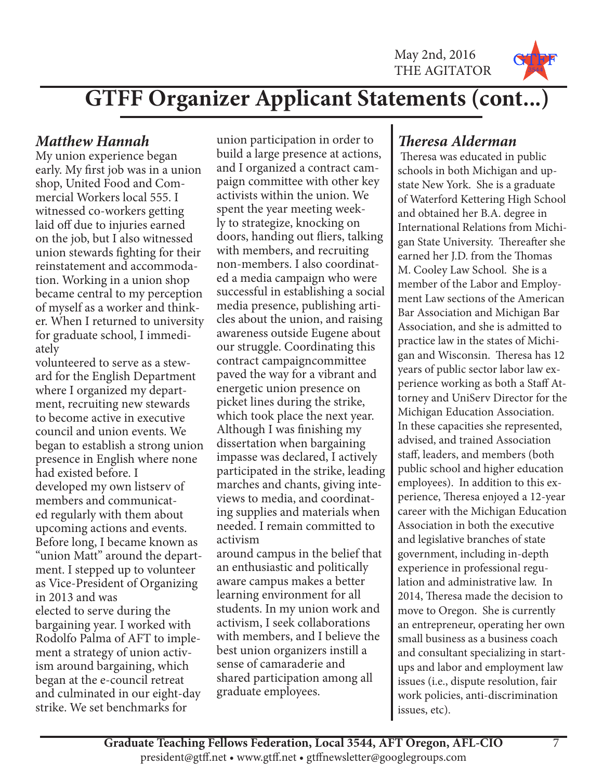May 2nd, 2016 THE AGITATOR



## **GTFF Organizer Applicant Statements (cont...)**

#### *Matthew Hannah*

My union experience began early. My first job was in a union shop, United Food and Commercial Workers local 555. I witnessed co-workers getting laid off due to injuries earned on the job, but I also witnessed union stewards fighting for their reinstatement and accommodation. Working in a union shop became central to my perception of myself as a worker and thinker. When I returned to university for graduate school, I immediately

volunteered to serve as a steward for the English Department where I organized my department, recruiting new stewards to become active in executive council and union events. We began to establish a strong union presence in English where none had existed before. I developed my own listserv of members and communicated regularly with them about upcoming actions and events. Before long, I became known as "union Matt" around the department. I stepped up to volunteer as Vice-President of Organizing in 2013 and was elected to serve during the bargaining year. I worked with Rodolfo Palma of AFT to implement a strategy of union activism around bargaining, which began at the e-council retreat and culminated in our eight-day strike. We set benchmarks for

union participation in order to build a large presence at actions, and I organized a contract campaign committee with other key activists within the union. We spent the year meeting weekly to strategize, knocking on doors, handing out fliers, talking with members, and recruiting non-members. I also coordinated a media campaign who were successful in establishing a social media presence, publishing articles about the union, and raising awareness outside Eugene about our struggle. Coordinating this contract campaigncommittee paved the way for a vibrant and energetic union presence on picket lines during the strike, which took place the next year. Although I was finishing my dissertation when bargaining impasse was declared, I actively participated in the strike, leading marches and chants, giving inteviews to media, and coordinating supplies and materials when needed. I remain committed to activism

around campus in the belief that an enthusiastic and politically aware campus makes a better learning environment for all students. In my union work and activism, I seek collaborations with members, and I believe the best union organizers instill a sense of camaraderie and shared participation among all graduate employees.

### *Theresa Alderman*

 Theresa was educated in public schools in both Michigan and upstate New York. She is a graduate of Waterford Kettering High School and obtained her B.A. degree in International Relations from Michigan State University. Thereafter she earned her J.D. from the Thomas M. Cooley Law School. She is a member of the Labor and Employment Law sections of the American Bar Association and Michigan Bar Association, and she is admitted to practice law in the states of Michigan and Wisconsin. Theresa has 12 years of public sector labor law experience working as both a Staff Attorney and UniServ Director for the Michigan Education Association. In these capacities she represented, advised, and trained Association staff, leaders, and members (both public school and higher education employees). In addition to this experience, Theresa enjoyed a 12-year career with the Michigan Education Association in both the executive and legislative branches of state government, including in-depth experience in professional regulation and administrative law. In 2014, Theresa made the decision to move to Oregon. She is currently an entrepreneur, operating her own small business as a business coach and consultant specializing in startups and labor and employment law issues (i.e., dispute resolution, fair work policies, anti-discrimination issues, etc).